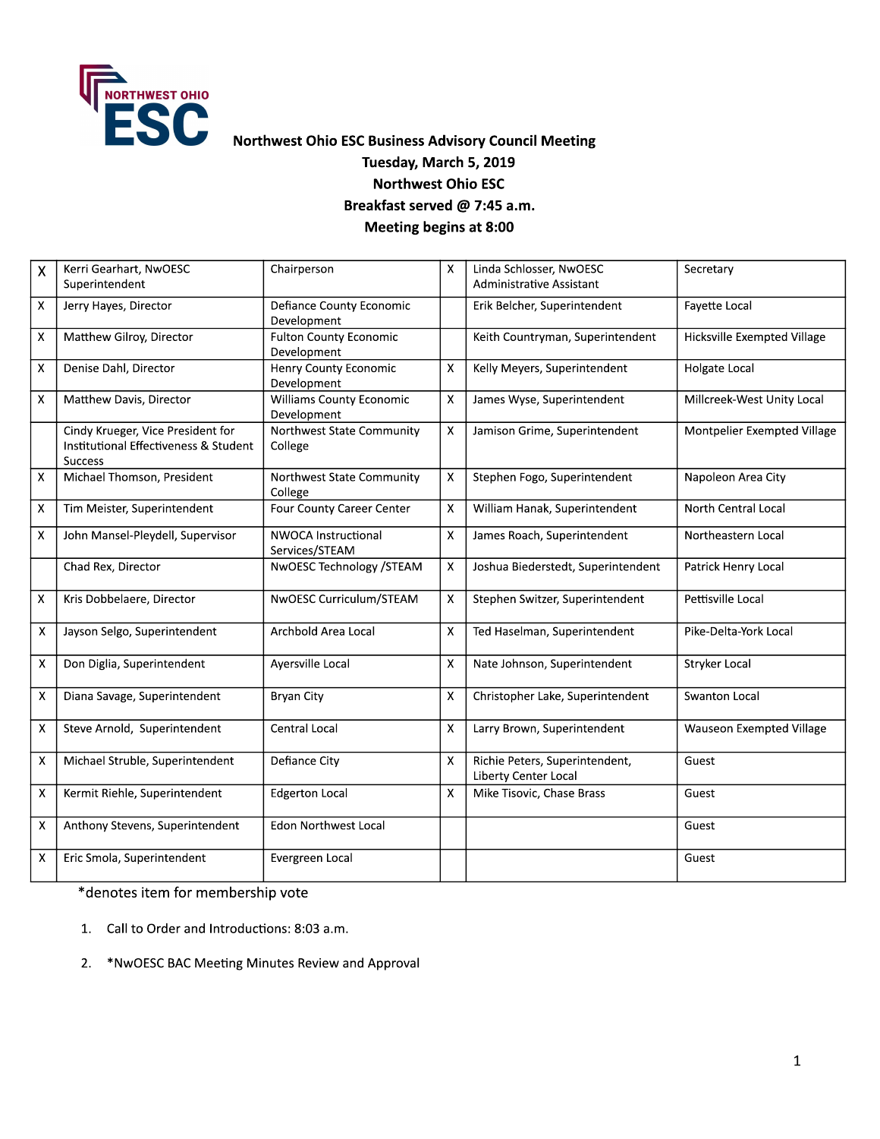

## Northwest Ohio ESC Business Advisory Council Meeting Tuesday, March 5, 2019 **Northwest Ohio ESC** Breakfast served @ 7:45 a.m. **Meeting begins at 8:00**

| $\mathsf{X}$       | Kerri Gearhart, NwOESC<br>Superintendent                                                     | Chairperson                                    | X                         | Linda Schlosser, NwOESC<br>Administrative Assistant    | Secretary                   |
|--------------------|----------------------------------------------------------------------------------------------|------------------------------------------------|---------------------------|--------------------------------------------------------|-----------------------------|
| $\mathsf X$        | Jerry Hayes, Director                                                                        | Defiance County Economic<br>Development        |                           | Erik Belcher, Superintendent                           | Favette Local               |
| X                  | Matthew Gilroy, Director                                                                     | <b>Fulton County Economic</b><br>Development   |                           | Keith Countryman, Superintendent                       | Hicksville Exempted Village |
| $\mathsf X$        | Denise Dahl, Director                                                                        | Henry County Economic<br>Development           | X                         | Kelly Meyers, Superintendent                           | Holgate Local               |
| X                  | Matthew Davis, Director                                                                      | <b>Williams County Economic</b><br>Development | $\boldsymbol{\mathsf{x}}$ | James Wyse, Superintendent                             | Millcreek-West Unity Local  |
|                    | Cindy Krueger, Vice President for<br>Institutional Effectiveness & Student<br><b>Success</b> | Northwest State Community<br>College           | $\pmb{\times}$            | Jamison Grime, Superintendent                          | Montpelier Exempted Village |
| X                  | Michael Thomson, President                                                                   | Northwest State Community<br>College           | X                         | Stephen Fogo, Superintendent                           | Napoleon Area City          |
| X                  | Tim Meister, Superintendent                                                                  | Four County Career Center                      | X                         | William Hanak, Superintendent                          | <b>North Central Local</b>  |
| $\bar{\mathsf{X}}$ | John Mansel-Pleydell, Supervisor                                                             | <b>NWOCA Instructional</b><br>Services/STEAM   | X                         | James Roach, Superintendent                            | Northeastern Local          |
|                    | Chad Rex, Director                                                                           | NwOESC Technology / STEAM                      | X                         | Joshua Biederstedt, Superintendent                     | Patrick Henry Local         |
| $\mathsf{X}$       | Kris Dobbelaere, Director                                                                    | NwOESC Curriculum/STEAM                        | $\pmb{\mathsf{X}}$        | Stephen Switzer, Superintendent                        | Pettisville Local           |
| $\pmb{\times}$     | Jayson Selgo, Superintendent                                                                 | Archbold Area Local                            | $\pmb{\mathsf{X}}$        | Ted Haselman, Superintendent                           | Pike-Delta-York Local       |
| $\pmb{\mathsf{X}}$ | Don Diglia, Superintendent                                                                   | Ayersville Local                               | $\boldsymbol{\mathsf{X}}$ | Nate Johnson, Superintendent                           | <b>Stryker Local</b>        |
| X                  | Diana Savage, Superintendent                                                                 | <b>Bryan City</b>                              | X                         | Christopher Lake, Superintendent                       | <b>Swanton Local</b>        |
| Χ                  | Steve Arnold, Superintendent                                                                 | Central Local                                  | X                         | Larry Brown, Superintendent                            | Wauseon Exempted Village    |
| $\mathsf X$        | Michael Struble, Superintendent                                                              | Defiance City                                  | $\pmb{\times}$            | Richie Peters, Superintendent,<br>Liberty Center Local | Guest                       |
| $\pmb{\mathsf{X}}$ | Kermit Riehle, Superintendent                                                                | <b>Edgerton Local</b>                          | $\boldsymbol{\mathsf{x}}$ | Mike Tisovic, Chase Brass                              | Guest                       |
| $\pmb{\times}$     | Anthony Stevens, Superintendent                                                              | Edon Northwest Local                           |                           |                                                        | Guest                       |
| $\pmb{\mathsf{X}}$ | Eric Smola, Superintendent                                                                   | Evergreen Local                                |                           |                                                        | Guest                       |

\*denotes item for membership vote

- 1. Call to Order and Introductions: 8:03 a.m.
- 2. \*NwOESC BAC Meeting Minutes Review and Approval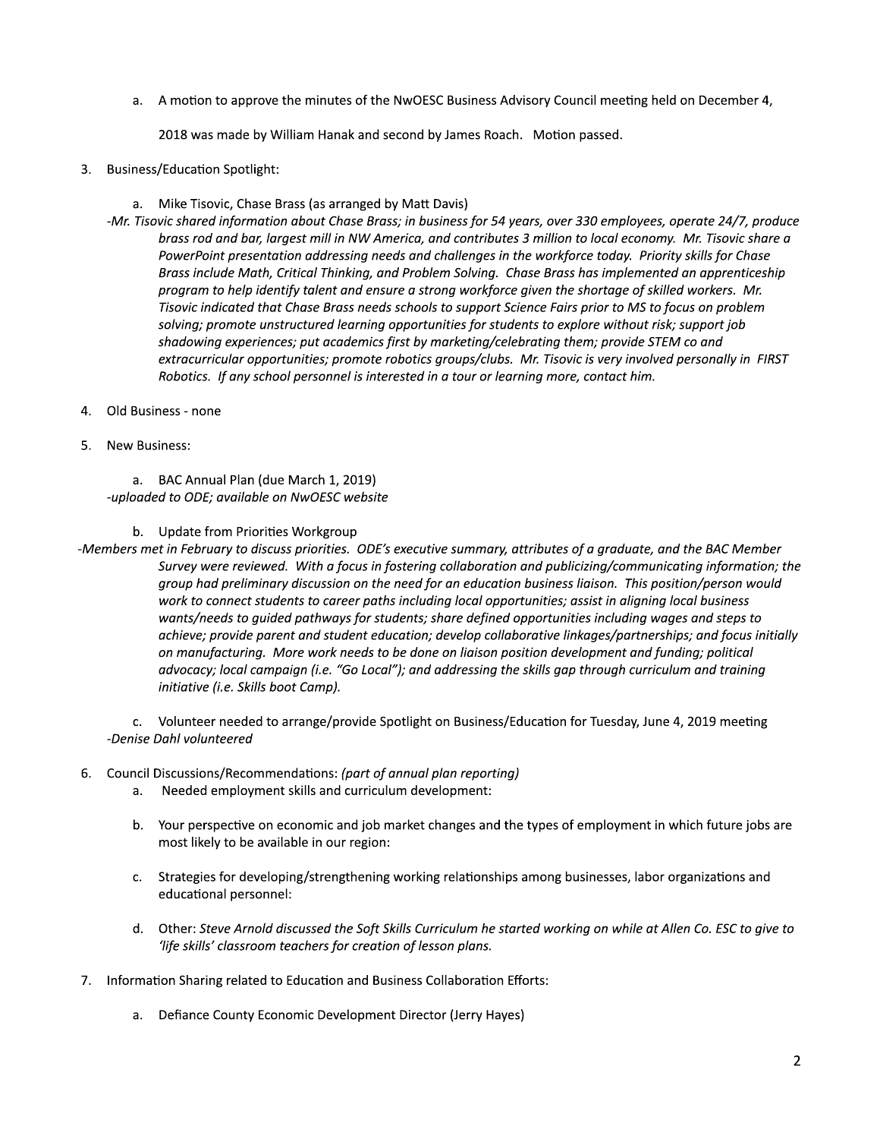a. A motion to approve the minutes of the NWOESC Business Advisory Council meeting held on December 4

2018 was made by William Hanak and second by James Roach. Motion passed.

- 3. Business/Education Spotlight:
	- a. Mike Tisović, Chase Brass (as arranged by Matt Davis)
- A motion to approve the minutes of the NwOESC Business Advisory Council meeting held on December 4,<br>2018 was made by William Hanak and second by James Roach. Motion passed.<br>/Education Spotlight:<br>Wike Tisovic, Chase Brass ( -Mr. Tisovic shared information about Chase Brass; in business for 54 years, over 330 employees, operate 24/7, produce brass rod and bar, largest mill in NW America, and contributes 3 million to local economy. Mr. Tisovic share a PowerPoint presentation addressing needs and challenges in the workforce today. Priority skills for Chase Brass include Math, Critical Thinking, and Problem Solving. Chase Brass has implemented an apprenticeship program to help identify talent and ensure a strong workforce given the shortage of skilled workers. Mr. Tisovic indicated that Chase Brass needs schools to support Science Fairs prior to MS to focus on problem solving; promote unstructured learning opportunities for students to explore without risk; support job shadowing experiences; put academics first by marketing/celebrating them; provide STEM co and extracurricular opportunities; promote robotics groups/clubs. Mr. Tisovic is very involved personally in FIRST Robotics. If any school personnel is interested in a tour or learning more, contact him.
- 4. Old Business none
- 5. New Business:

a. BAC Annual Plan (due March 1, 2019) -uploaded to ODE; available on NwOESC website

b. Update from Priorities Workgroup

-Members met in February to discuss priorities. ODE's executive summary, attributes of a graduate, and the BAC Member Survey were reviewed. With a focus in fostering collaboration and publicizing/communicating information; the group had preliminary discussion on the need for an education business liaison. This position/person would work to connect students to career paths including local opportunities; assist in aligning local business wants/needs to guided pathways for students; share defined opportunities including wages and steps to achieve; provide parent and student education; develop collaborative linkages/partnerships; and focus initially on manufacturing. More work needs to be done on liaison position development and funding; political advocacy; local campaign (i.e. "Go Local"); and addressing the skills gap through curriculum and training initiative (i.e. Skills boot Camp).

c. Volunteer needed to arrange/provide Spotlight on Business/Education for Tuesday, June 4, 2019 meeting -Denise Dahl volunteered

## 6. Council Discussions/Recommendations: (part of annual plan reporting)

- a. Needed employment skills and curriculum development:
- b. Your perspective on economic and job market changes and the types of employment in which future jobs are most likely to be available in our region:
- c. Strategies for developing/strengthening working relationships among businesses, labor organizations and educational personnel:
- d. Other: Steve Arnold discussed the Soft Skills Curriculum he started working on while at Allen Co. ESC to give to 'life skills' classroom teachers for creation of lesson plans. gthening working relationships among businesses, labor organizations and<br>
the Soft Skills Curriculum he started working on while at Allen Co. ESC to give to<br>
or creation of lesson plans.<br>
and Business Collaboration Efforts
- 7. Information Sharing related to Education and Business Collaboration Efforts:
	- a. Defiance County Economic Development Director (Jerry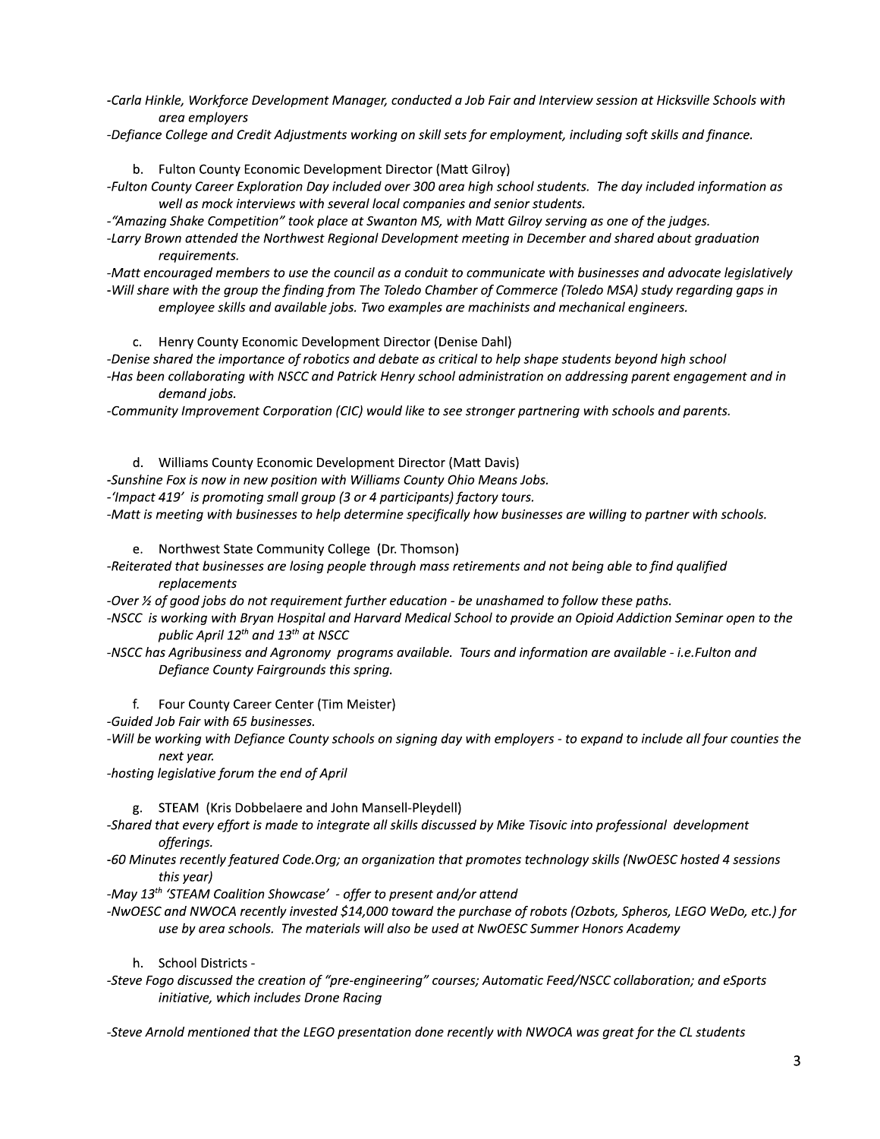- -Carla Hinkle, Workforce Development Manager, conducted a Job Fair and Interview session at Hicksville Schools with area employers
- -Defiance College and Credit Adjustments working on skill sets for employment, including soft skills and finance.
	- b. Fulton County Economic Development Director (Matt Gilroy)

-Fulton County Career Exploration Day included over 300 area high school students. The day included information as well as mock interviews with several local companies and senior students.

- -"Amazing Shake Competition" took place at Swanton MS, with Matt Gilroy serving as one of the judges.
- -Larry Brown attended the Northwest Regional Development meeting in December and shared about graduation requirements.

-Matt encouraged members to use the council as a conduit to communicate with businesses and advocate legislatively -Will share with the group the finding from The Toledo Chamber of Commerce (Toledo MSA) study regarding gaps in employee skills and available jobs. Two examples are machinists and mechanical engineers.

- c. Henry County Economic Development Director (Denise Dahl)
- -Denise shared the importance of robotics and debate as critical to help shape students beyond high school -Has been collaborating with NSCC and Patrick Henry school administration on addressing parent engagement and in demand jobs.
- -Community Improvement Corporation (CIC) would like to see stronger partnering with schools and parents.
- d. Williams County Economic Development Director (Matt Davis)
- -Sunshine Fox is now in new position with Williams County Ohio Means Jobs.
- -'Impact 419' is promoting small group (3 or 4 participants) factory tours.

-Matt is meeting with businesses to help determine specifically how businesses are willing to partner with schools.

e. Northwest State Community College (Dr. Thomson)

- -Reiterated that businesses are losing people through mass retirements and not being able to find qualified replacements
- -Over  $\frac{1}{2}$  of good jobs do not requirement further education be unashamed to follow these paths.
- -NSCC is working with Bryan Hospital and Harvard Medical School to provide an Opioid Addiction Seminar open to the public April 12<sup>th</sup> and 13<sup>th</sup> at NSCC
- -NSCC has Agribusiness and Agronomy programs available. Tours and information are available i.e. Fulton and Defiance County Fairgrounds this spring.
	- f. Four County Career Center (Tim Meister)

-Guided Job Fair with 65 businesses.

-Will be working with Defiance County schools on signing day with employers - to expand to include all four counties the next year.

-hosting legislative forum the end of April

g. STEAM (Kris Dobbelaere and John Mansell-Pleydell)

- -Shared that every effort is made to integrate all skills discussed by Mike Tisovic into professional development offerings.
- -60 Minutes recently featured Code.Org; an organization that promotes technology skills (NwOESC hosted 4 sessions this year)

-May 13<sup>th</sup> 'STEAM Coalition Showcase' - offer to present and/or attend

- -NwOESC and NWOCA recently invested \$14,000 toward the purchase of robots (Ozbots, Spheros, LEGO WeDo, etc.) for use by area schools. The materials will also be used at NwOESC Summer Honors Academy
	- h. School Districts -
- -Steve Fogo discussed the creation of "pre-engineering" courses; Automatic Feed/NSCC collaboration; and eSports initiative, which includes Drone Racing

-Steve Arnold mentioned that the LEGO presentation done recently with NWOCA was great for the CL students